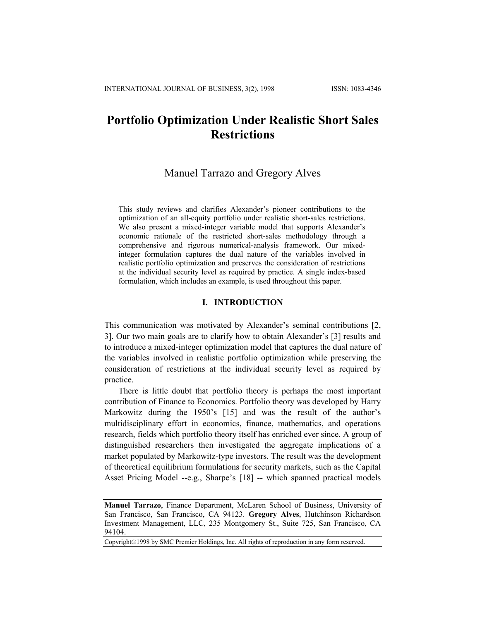# **Portfolio Optimization Under Realistic Short Sales Restrictions**

## Manuel Tarrazo and Gregory Alves

This study reviews and clarifies Alexander's pioneer contributions to the optimization of an all-equity portfolio under realistic short-sales restrictions. We also present a mixed-integer variable model that supports Alexander's economic rationale of the restricted short-sales methodology through a comprehensive and rigorous numerical-analysis framework. Our mixedinteger formulation captures the dual nature of the variables involved in realistic portfolio optimization and preserves the consideration of restrictions at the individual security level as required by practice. A single index-based formulation, which includes an example, is used throughout this paper.

### **I. INTRODUCTION**

This communication was motivated by Alexander's seminal contributions [2, 3]. Our two main goals are to clarify how to obtain Alexander's [3] results and to introduce a mixed-integer optimization model that captures the dual nature of the variables involved in realistic portfolio optimization while preserving the consideration of restrictions at the individual security level as required by practice.

There is little doubt that portfolio theory is perhaps the most important contribution of Finance to Economics. Portfolio theory was developed by Harry Markowitz during the 1950's [15] and was the result of the author's multidisciplinary effort in economics, finance, mathematics, and operations research, fields which portfolio theory itself has enriched ever since. A group of distinguished researchers then investigated the aggregate implications of a market populated by Markowitz-type investors. The result was the development of theoretical equilibrium formulations for security markets, such as the Capital Asset Pricing Model --e.g., Sharpe's [18] -- which spanned practical models

Copyright©1998 by SMC Premier Holdings, Inc. All rights of reproduction in any form reserved.

**Manuel Tarrazo**, Finance Department, McLaren School of Business, University of San Francisco, San Francisco, CA 94123. **Gregory Alves**, Hutchinson Richardson Investment Management, LLC, 235 Montgomery St., Suite 725, San Francisco, CA 94104.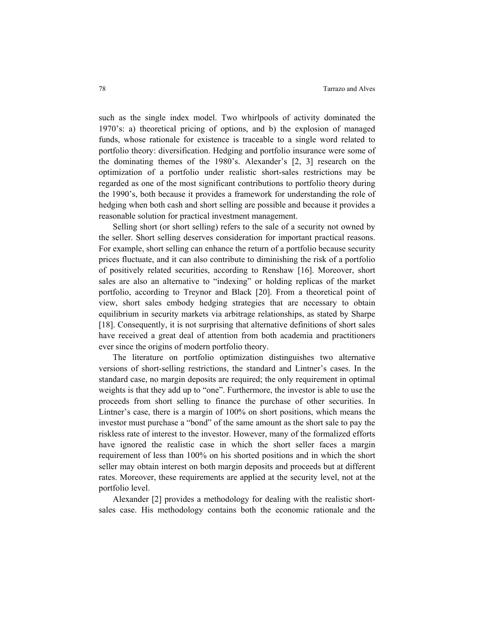such as the single index model. Two whirlpools of activity dominated the 1970's: a) theoretical pricing of options, and b) the explosion of managed funds, whose rationale for existence is traceable to a single word related to portfolio theory: diversification. Hedging and portfolio insurance were some of the dominating themes of the 1980's. Alexander's [2, 3] research on the optimization of a portfolio under realistic short-sales restrictions may be regarded as one of the most significant contributions to portfolio theory during the 1990's, both because it provides a framework for understanding the role of hedging when both cash and short selling are possible and because it provides a reasonable solution for practical investment management.

Selling short (or short selling) refers to the sale of a security not owned by the seller. Short selling deserves consideration for important practical reasons. For example, short selling can enhance the return of a portfolio because security prices fluctuate, and it can also contribute to diminishing the risk of a portfolio of positively related securities, according to Renshaw [16]. Moreover, short sales are also an alternative to "indexing" or holding replicas of the market portfolio, according to Treynor and Black [20]. From a theoretical point of view, short sales embody hedging strategies that are necessary to obtain equilibrium in security markets via arbitrage relationships, as stated by Sharpe [18]. Consequently, it is not surprising that alternative definitions of short sales have received a great deal of attention from both academia and practitioners ever since the origins of modern portfolio theory.

The literature on portfolio optimization distinguishes two alternative versions of short-selling restrictions, the standard and Lintner's cases. In the standard case, no margin deposits are required; the only requirement in optimal weights is that they add up to "one". Furthermore, the investor is able to use the proceeds from short selling to finance the purchase of other securities. In Lintner's case, there is a margin of 100% on short positions, which means the investor must purchase a "bond" of the same amount as the short sale to pay the riskless rate of interest to the investor. However, many of the formalized efforts have ignored the realistic case in which the short seller faces a margin requirement of less than 100% on his shorted positions and in which the short seller may obtain interest on both margin deposits and proceeds but at different rates. Moreover, these requirements are applied at the security level, not at the portfolio level.

Alexander [2] provides a methodology for dealing with the realistic shortsales case. His methodology contains both the economic rationale and the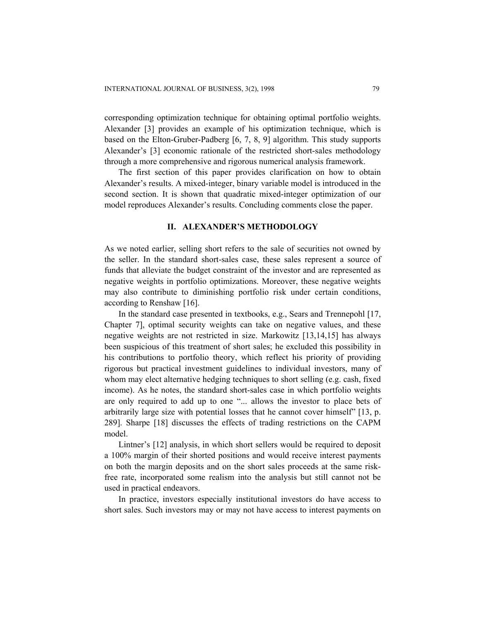corresponding optimization technique for obtaining optimal portfolio weights. Alexander [3] provides an example of his optimization technique, which is based on the Elton-Gruber-Padberg [6, 7, 8, 9] algorithm. This study supports Alexander's [3] economic rationale of the restricted short-sales methodology through a more comprehensive and rigorous numerical analysis framework.

The first section of this paper provides clarification on how to obtain Alexander's results. A mixed-integer, binary variable model is introduced in the second section. It is shown that quadratic mixed-integer optimization of our model reproduces Alexander's results. Concluding comments close the paper.

## **II. ALEXANDER'S METHODOLOGY**

As we noted earlier, selling short refers to the sale of securities not owned by the seller. In the standard short-sales case, these sales represent a source of funds that alleviate the budget constraint of the investor and are represented as negative weights in portfolio optimizations. Moreover, these negative weights may also contribute to diminishing portfolio risk under certain conditions, according to Renshaw [16].

In the standard case presented in textbooks, e.g., Sears and Trennepohl [17, Chapter 7], optimal security weights can take on negative values, and these negative weights are not restricted in size. Markowitz [13,14,15] has always been suspicious of this treatment of short sales; he excluded this possibility in his contributions to portfolio theory, which reflect his priority of providing rigorous but practical investment guidelines to individual investors, many of whom may elect alternative hedging techniques to short selling (e.g. cash, fixed income). As he notes, the standard short-sales case in which portfolio weights are only required to add up to one "... allows the investor to place bets of arbitrarily large size with potential losses that he cannot cover himself" [13, p. 289]. Sharpe [18] discusses the effects of trading restrictions on the CAPM model.

Lintner's [12] analysis, in which short sellers would be required to deposit a 100% margin of their shorted positions and would receive interest payments on both the margin deposits and on the short sales proceeds at the same riskfree rate, incorporated some realism into the analysis but still cannot not be used in practical endeavors.

In practice, investors especially institutional investors do have access to short sales. Such investors may or may not have access to interest payments on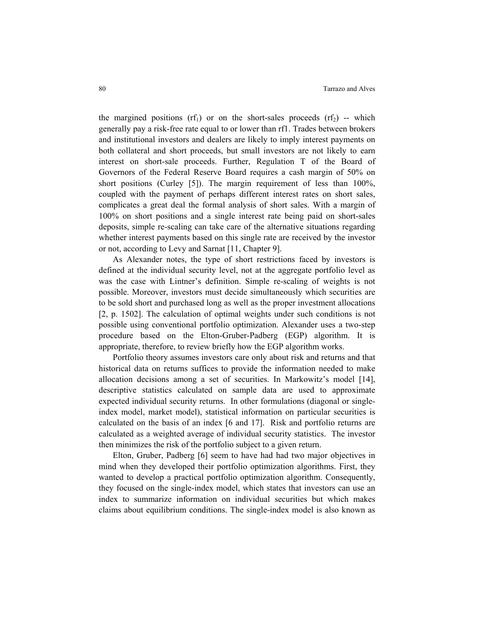the margined positions (rf<sub>1</sub>) or on the short-sales proceeds (rf<sub>2</sub>) -- which generally pay a risk-free rate equal to or lower than rf1. Trades between brokers and institutional investors and dealers are likely to imply interest payments on both collateral and short proceeds, but small investors are not likely to earn interest on short-sale proceeds. Further, Regulation T of the Board of Governors of the Federal Reserve Board requires a cash margin of 50% on short positions (Curley [5]). The margin requirement of less than 100%, coupled with the payment of perhaps different interest rates on short sales, complicates a great deal the formal analysis of short sales. With a margin of 100% on short positions and a single interest rate being paid on short-sales deposits, simple re-scaling can take care of the alternative situations regarding whether interest payments based on this single rate are received by the investor or not, according to Levy and Sarnat [11, Chapter 9].

As Alexander notes, the type of short restrictions faced by investors is defined at the individual security level, not at the aggregate portfolio level as was the case with Lintner's definition. Simple re-scaling of weights is not possible. Moreover, investors must decide simultaneously which securities are to be sold short and purchased long as well as the proper investment allocations [2, p. 1502]. The calculation of optimal weights under such conditions is not possible using conventional portfolio optimization. Alexander uses a two-step procedure based on the Elton-Gruber-Padberg (EGP) algorithm. It is appropriate, therefore, to review briefly how the EGP algorithm works.

Portfolio theory assumes investors care only about risk and returns and that historical data on returns suffices to provide the information needed to make allocation decisions among a set of securities. In Markowitz's model [14], descriptive statistics calculated on sample data are used to approximate expected individual security returns. In other formulations (diagonal or singleindex model, market model), statistical information on particular securities is calculated on the basis of an index [6 and 17]. Risk and portfolio returns are calculated as a weighted average of individual security statistics. The investor then minimizes the risk of the portfolio subject to a given return.

Elton, Gruber, Padberg [6] seem to have had had two major objectives in mind when they developed their portfolio optimization algorithms. First, they wanted to develop a practical portfolio optimization algorithm. Consequently, they focused on the single-index model, which states that investors can use an index to summarize information on individual securities but which makes claims about equilibrium conditions. The single-index model is also known as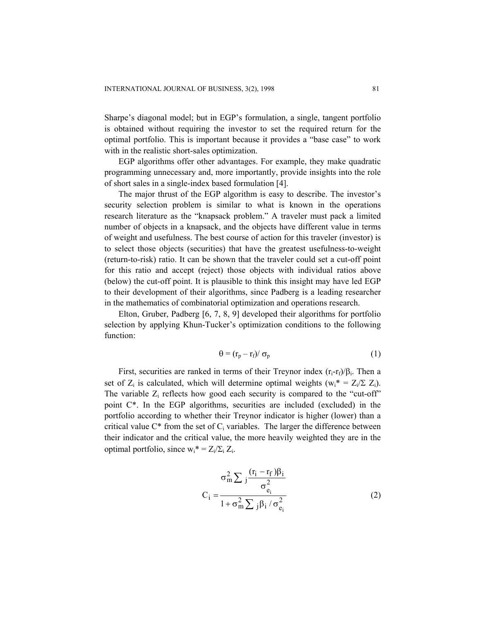Sharpe's diagonal model; but in EGP's formulation, a single, tangent portfolio is obtained without requiring the investor to set the required return for the optimal portfolio. This is important because it provides a "base case" to work with in the realistic short-sales optimization.

EGP algorithms offer other advantages. For example, they make quadratic programming unnecessary and, more importantly, provide insights into the role of short sales in a single-index based formulation [4].

The major thrust of the EGP algorithm is easy to describe. The investor's security selection problem is similar to what is known in the operations research literature as the "knapsack problem." A traveler must pack a limited number of objects in a knapsack, and the objects have different value in terms of weight and usefulness. The best course of action for this traveler (investor) is to select those objects (securities) that have the greatest usefulness-to-weight (return-to-risk) ratio. It can be shown that the traveler could set a cut-off point for this ratio and accept (reject) those objects with individual ratios above (below) the cut-off point. It is plausible to think this insight may have led EGP to their development of their algorithms, since Padberg is a leading researcher in the mathematics of combinatorial optimization and operations research.

Elton, Gruber, Padberg [6, 7, 8, 9] developed their algorithms for portfolio selection by applying Khun-Tucker's optimization conditions to the following function:

$$
\Theta = (r_p - r_f) / \sigma_p \tag{1}
$$

First, securities are ranked in terms of their Treynor index  $(r_i - r_f)/\beta_i$ . Then a set of  $Z_i$  is calculated, which will determine optimal weights ( $w_i^* = Z_i / \Sigma Z_i$ ). The variable  $Z_i$  reflects how good each security is compared to the "cut-off" point C\*. In the EGP algorithms, securities are included (excluded) in the portfolio according to whether their Treynor indicator is higher (lower) than a critical value  $C^*$  from the set of  $C_i$  variables. The larger the difference between their indicator and the critical value, the more heavily weighted they are in the optimal portfolio, since  $w_i^* = Z_i / \Sigma_i Z_i$ .

$$
C_i = \frac{\sigma_m^2 \sum_j \frac{(r_i - r_f)\beta_i}{\sigma_{e_i}^2}}{1 + \sigma_m^2 \sum_j \beta_i / \sigma_{e_i}^2}
$$
 (2)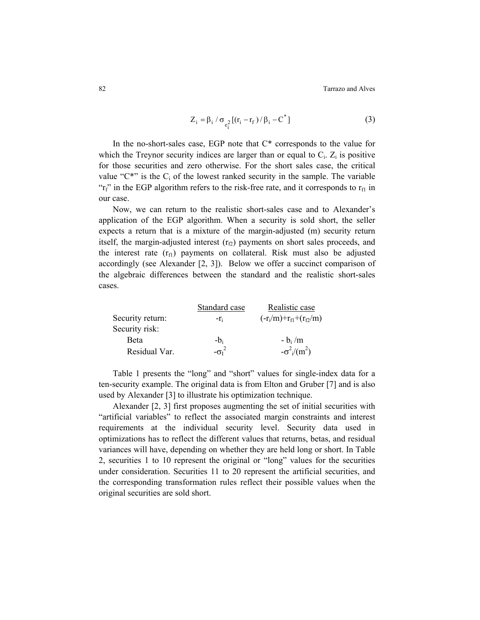82 Tarrazo and Alves

$$
Z_{i} = \beta_{i} / \sigma_{e_{i}^{2}} [(r_{i} - r_{f}) / \beta_{i} - C^{*}]
$$
\n(3)

In the no-short-sales case, EGP note that C\* corresponds to the value for which the Treynor security indices are larger than or equal to  $C_i$ .  $Z_i$  is positive for those securities and zero otherwise. For the short sales case, the critical value " $C^*$ " is the  $C_i$  of the lowest ranked security in the sample. The variable " $r_f$ " in the EGP algorithm refers to the risk-free rate, and it corresponds to  $r_{f1}$  in our case.

Now, we can return to the realistic short-sales case and to Alexander's application of the EGP algorithm. When a security is sold short, the seller expects a return that is a mixture of the margin-adjusted (m) security return itself, the margin-adjusted interest  $(r<sub>f2</sub>)$  payments on short sales proceeds, and the interest rate  $(r_f)$  payments on collateral. Risk must also be adjusted accordingly (see Alexander [2, 3]). Below we offer a succinct comparison of the algebraic differences between the standard and the realistic short-sales cases.

|                  | Standard case | Realistic case                              |
|------------------|---------------|---------------------------------------------|
| Security return: | $-r_i$        | $(-r_i/m)+r_{f1}+(r_{f2}/m)$                |
| Security risk:   |               |                                             |
| <b>Beta</b>      | $-b_i$        | $-b_i/m$                                    |
| Residual Var.    | $-\sigma_I^2$ | $-\sigma^2$ <sub>i</sub> /(m <sup>2</sup> ) |

Table 1 presents the "long" and "short" values for single-index data for a ten-security example. The original data is from Elton and Gruber [7] and is also used by Alexander [3] to illustrate his optimization technique.

Alexander [2, 3] first proposes augmenting the set of initial securities with "artificial variables" to reflect the associated margin constraints and interest requirements at the individual security level. Security data used in optimizations has to reflect the different values that returns, betas, and residual variances will have, depending on whether they are held long or short. In Table 2, securities 1 to 10 represent the original or "long" values for the securities under consideration. Securities 11 to 20 represent the artificial securities, and the corresponding transformation rules reflect their possible values when the original securities are sold short.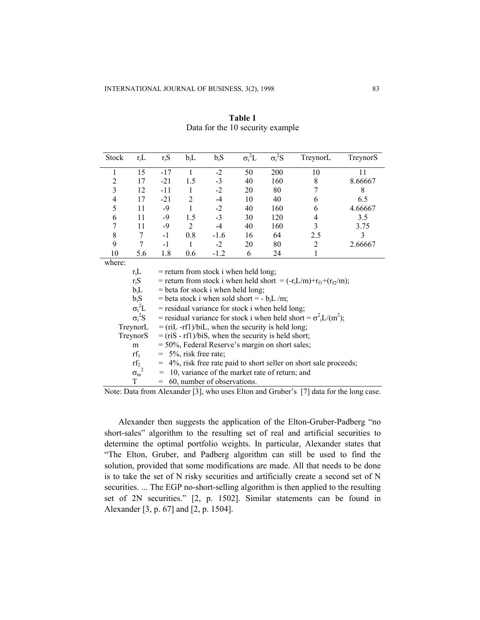| <b>Stock</b> | $r_iL$         | $r_iS$                                              | $b_iL$                                                                 | $b_iS$                                  | $\sigma_i^2 L$ | $\sigma_i^2S$ | TreynorL                                                                | TreynorS |  |  |  |
|--------------|----------------|-----------------------------------------------------|------------------------------------------------------------------------|-----------------------------------------|----------------|---------------|-------------------------------------------------------------------------|----------|--|--|--|
| 1            | 15             | -17                                                 | 1                                                                      | $-2$                                    | 50             | 200           | 10                                                                      | 11       |  |  |  |
| 2            | 17             | $-21$                                               | 1.5                                                                    | $-3$                                    | 40             | 160           | 8                                                                       | 8.66667  |  |  |  |
| 3            | 12             | $-11$                                               | 1                                                                      | $-2$                                    | 20             | 80            | 7                                                                       | 8        |  |  |  |
| 4            | 17             | $-21$                                               | 2                                                                      | $-4$                                    | 10             | 40            | 6                                                                       | 6.5      |  |  |  |
| 5            | 11             | $-9$                                                | 1                                                                      | $-2$                                    | 40             | 160           | 6                                                                       | 4.66667  |  |  |  |
| 6            | 11             | -9                                                  | 1.5                                                                    | $-3$                                    | 30             | 120           | 4                                                                       | 3.5      |  |  |  |
| 7            | 11             | $-9$                                                | 2                                                                      | $-4$                                    | 40             | 160           | 3                                                                       | 3.75     |  |  |  |
| 8            | 7              | $-1$                                                | 0.8                                                                    | $-1.6$                                  | 16             | 64            | 2.5                                                                     | 3        |  |  |  |
| 9            | 7              | $-1$                                                | 1                                                                      | $-2$                                    | 20             | 80            | 2                                                                       | 2.66667  |  |  |  |
| 10           | 5.6            | 1.8                                                 | 0.6                                                                    | $-1.2$                                  | 6              | 24            |                                                                         |          |  |  |  |
| where:       |                |                                                     |                                                                        |                                         |                |               |                                                                         |          |  |  |  |
|              | $r_iL$         |                                                     |                                                                        | $=$ return from stock i when held long; |                |               |                                                                         |          |  |  |  |
|              | $r_iS$         |                                                     |                                                                        |                                         |                |               | = return from stock i when held short = $(-r_iL/m)+r_{f1}+(r_{f2}/m)$ ; |          |  |  |  |
|              | $b_iL$         |                                                     |                                                                        | $=$ beta for stock i when held long;    |                |               |                                                                         |          |  |  |  |
|              | $b_iS$         |                                                     | = beta stock i when sold short = - $b_iL/m$ ;                          |                                         |                |               |                                                                         |          |  |  |  |
|              | $\sigma_i^2 L$ |                                                     | $=$ residual variance for stock i when held long;                      |                                         |                |               |                                                                         |          |  |  |  |
|              | $\sigma_i^2S$  |                                                     | = residual variance for stock i when held short = $\sigma^2 L/(m^2)$ ; |                                         |                |               |                                                                         |          |  |  |  |
|              | TrevnorL       | $=$ (riL -rf1)/biL, when the security is held long: |                                                                        |                                         |                |               |                                                                         |          |  |  |  |

**Table 1**  Data for the 10 security example

| $r_iL$                   | $=$ return from stock i when held long;                                                        |
|--------------------------|------------------------------------------------------------------------------------------------|
| $r_iS$                   | = return from stock i when held short = $(-r_iL/m)+r_{f1}+(r_{f2}/m)$ ;                        |
| $b_iL$                   | $=$ beta for stock i when held long;                                                           |
| $b_iS$                   | = beta stock i when sold short = $-b_iL/m$ ;                                                   |
| $\sigma_i^2 L$           | $=$ residual variance for stock i when held long;                                              |
| $\sigma_i^2S$            | = residual variance for stock i when held short = $\sigma^2$ <sub>i</sub> L/(m <sup>2</sup> ); |
| TreynorL                 | $=$ (riL -rf1)/biL, when the security is held long;                                            |
| TreynorS                 | $=$ (riS - rf1)/biS, when the security is held short;                                          |
| m                        | $=$ 50%, Federal Reserve's margin on short sales;                                              |
| $\mathbf{r}\mathbf{f}_1$ | $= 5\%$ , risk free rate;                                                                      |
| $\mathrm{rf}_2$          | = 4%, risk free rate paid to short seller on short sale proceeds;                              |
| $\sigma_m^2$             | $=$ 10, variance of the market rate of return; and                                             |
| T                        | $= 60$ , number of observations.                                                               |

Note: Data from Alexander [3], who uses Elton and Gruber's [7] data for the long case.

Alexander then suggests the application of the Elton-Gruber-Padberg "no short-sales" algorithm to the resulting set of real and artificial securities to determine the optimal portfolio weights. In particular, Alexander states that "The Elton, Gruber, and Padberg algorithm can still be used to find the solution, provided that some modifications are made. All that needs to be done is to take the set of N risky securities and artificially create a second set of N securities. ... The EGP no-short-selling algorithm is then applied to the resulting set of 2N securities." [2, p. 1502]. Similar statements can be found in Alexander [3, p. 67] and [2, p. 1504].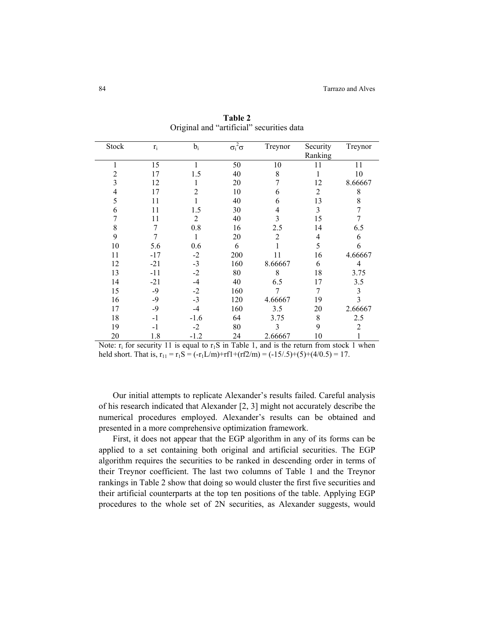| Stock | $\mathbf{r}_\mathrm{i}$ | $b_i$  | $\sigma_i^2 \sigma$ | Treynor        | Security | Treynor        |
|-------|-------------------------|--------|---------------------|----------------|----------|----------------|
|       |                         |        |                     |                | Ranking  |                |
| 1     | 15                      | 1      | 50                  | 10             | 11       | 11             |
| 2     | 17                      | 1.5    | 40                  | 8              |          | 10             |
| 3     | 12                      |        | 20                  | 7              | 12       | 8.66667        |
| 4     | 17                      | 2      | 10                  | 6              | 2        | 8              |
| 5     | 11                      |        | 40                  | 6              | 13       | 8              |
| 6     | 11                      | 1.5    | 30                  | 4              | 3        |                |
| 7     | 11                      | 2      | 40                  | 3              | 15       |                |
| 8     | 7                       | 0.8    | 16                  | 2.5            | 14       | 6.5            |
| 9     | 7                       | 1      | 20                  | $\overline{2}$ | 4        | 6              |
| 10    | 5.6                     | 0.6    | 6                   |                | 5        | 6              |
| 11    | $-17$                   | $-2$   | 200                 | 11             | 16       | 4.66667        |
| 12    | $-21$                   | $-3$   | 160                 | 8.66667        | 6        | $\overline{4}$ |
| 13    | $-11$                   | $-2$   | 80                  | 8              | 18       | 3.75           |
| 14    | $-21$                   | $-4$   | 40                  | 6.5            | 17       | 3.5            |
| 15    | $-9$                    | $-2$   | 160                 | 7              | 7        | 3              |
| 16    | $-9$                    | $-3$   | 120                 | 4.66667        | 19       | 3              |
| 17    | $-9$                    | $-4$   | 160                 | 3.5            | 20       | 2.66667        |
| 18    | $-1$                    | $-1.6$ | 64                  | 3.75           | 8        | 2.5            |
| 19    | $-1$                    | $-2$   | 80                  | 3              | 9        | 2              |
| 20    | 1.8                     | $-1.2$ | 24                  | 2.66667        | 10       |                |

**Table 2**  Original and "artificial" securities data

Note:  $r_i$  for security 11 is equal to  $r_iS$  in Table 1, and is the return from stock 1 when held short. That is,  $r_{11} = r_1S = (-r_1L/m) + r_1T + (r_1T_2/m) = (-15/0.5) + (5) + (4/0.5) = 17$ .

Our initial attempts to replicate Alexander's results failed. Careful analysis of his research indicated that Alexander [2, 3] might not accurately describe the numerical procedures employed. Alexander's results can be obtained and presented in a more comprehensive optimization framework.

First, it does not appear that the EGP algorithm in any of its forms can be applied to a set containing both original and artificial securities. The EGP algorithm requires the securities to be ranked in descending order in terms of their Treynor coefficient. The last two columns of Table 1 and the Treynor rankings in Table 2 show that doing so would cluster the first five securities and their artificial counterparts at the top ten positions of the table. Applying EGP procedures to the whole set of 2N securities, as Alexander suggests, would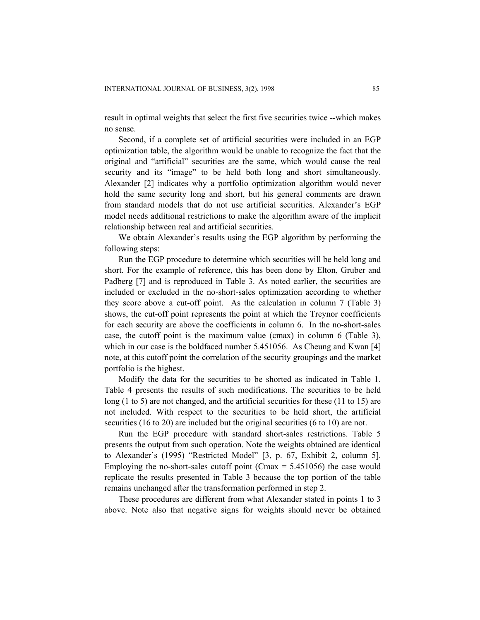result in optimal weights that select the first five securities twice --which makes no sense.

Second, if a complete set of artificial securities were included in an EGP optimization table, the algorithm would be unable to recognize the fact that the original and "artificial" securities are the same, which would cause the real security and its "image" to be held both long and short simultaneously. Alexander [2] indicates why a portfolio optimization algorithm would never hold the same security long and short, but his general comments are drawn from standard models that do not use artificial securities. Alexander's EGP model needs additional restrictions to make the algorithm aware of the implicit relationship between real and artificial securities.

We obtain Alexander's results using the EGP algorithm by performing the following steps:

Run the EGP procedure to determine which securities will be held long and short. For the example of reference, this has been done by Elton, Gruber and Padberg [7] and is reproduced in Table 3. As noted earlier, the securities are included or excluded in the no-short-sales optimization according to whether they score above a cut-off point. As the calculation in column 7 (Table 3) shows, the cut-off point represents the point at which the Treynor coefficients for each security are above the coefficients in column 6. In the no-short-sales case, the cutoff point is the maximum value (cmax) in column 6 (Table 3), which in our case is the boldfaced number 5.451056. As Cheung and Kwan [4] note, at this cutoff point the correlation of the security groupings and the market portfolio is the highest.

Modify the data for the securities to be shorted as indicated in Table 1. Table 4 presents the results of such modifications. The securities to be held long (1 to 5) are not changed, and the artificial securities for these (11 to 15) are not included. With respect to the securities to be held short, the artificial securities (16 to 20) are included but the original securities (6 to 10) are not.

Run the EGP procedure with standard short-sales restrictions. Table 5 presents the output from such operation. Note the weights obtained are identical to Alexander's (1995) "Restricted Model" [3, p. 67, Exhibit 2, column 5]. Employing the no-short-sales cutoff point (Cmax  $= 5.451056$ ) the case would replicate the results presented in Table 3 because the top portion of the table remains unchanged after the transformation performed in step 2.

These procedures are different from what Alexander stated in points 1 to 3 above. Note also that negative signs for weights should never be obtained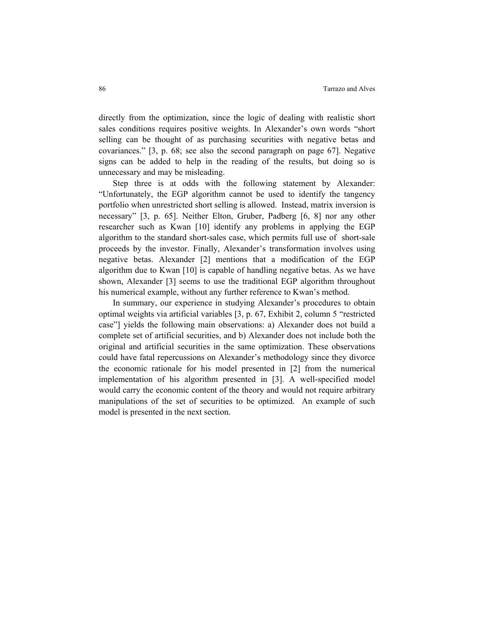directly from the optimization, since the logic of dealing with realistic short sales conditions requires positive weights. In Alexander's own words "short selling can be thought of as purchasing securities with negative betas and covariances." [3, p. 68; see also the second paragraph on page 67]. Negative signs can be added to help in the reading of the results, but doing so is unnecessary and may be misleading.

Step three is at odds with the following statement by Alexander: "Unfortunately, the EGP algorithm cannot be used to identify the tangency portfolio when unrestricted short selling is allowed. Instead, matrix inversion is necessary" [3, p. 65]. Neither Elton, Gruber, Padberg [6, 8] nor any other researcher such as Kwan [10] identify any problems in applying the EGP algorithm to the standard short-sales case, which permits full use of short-sale proceeds by the investor. Finally, Alexander's transformation involves using negative betas. Alexander [2] mentions that a modification of the EGP algorithm due to Kwan [10] is capable of handling negative betas. As we have shown, Alexander [3] seems to use the traditional EGP algorithm throughout his numerical example, without any further reference to Kwan's method.

In summary, our experience in studying Alexander's procedures to obtain optimal weights via artificial variables [3, p. 67, Exhibit 2, column 5 "restricted case"] yields the following main observations: a) Alexander does not build a complete set of artificial securities, and b) Alexander does not include both the original and artificial securities in the same optimization. These observations could have fatal repercussions on Alexander's methodology since they divorce the economic rationale for his model presented in [2] from the numerical implementation of his algorithm presented in [3]. A well-specified model would carry the economic content of the theory and would not require arbitrary manipulations of the set of securities to be optimized. An example of such model is presented in the next section.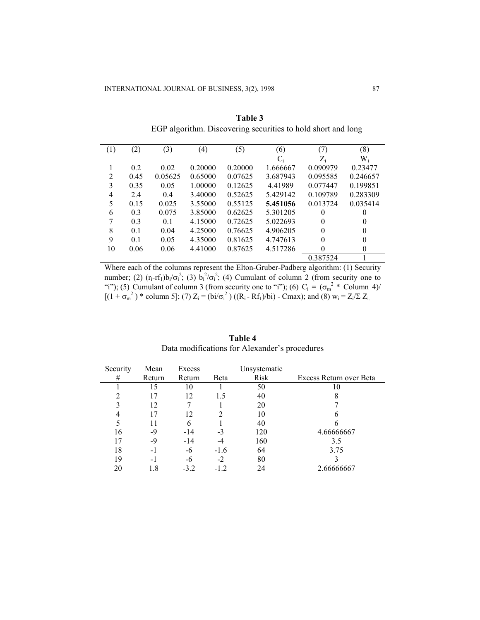| $\left(1\right)$ | (2)  | (3)     | $\left(4\right)$ | (5)     | (6)      | (7)           | (8)      |
|------------------|------|---------|------------------|---------|----------|---------------|----------|
|                  |      |         |                  |         | $C_i$    | $Z_i$         | $W_i$    |
|                  | 0.2  | 0.02    | 0.20000          | 0.20000 | 1.666667 | 0.090979      | 0.23477  |
| $\overline{2}$   | 0.45 | 0.05625 | 0.65000          | 0.07625 | 3.687943 | 0.095585      | 0.246657 |
| 3                | 0.35 | 0.05    | 1.00000          | 0.12625 | 4.41989  | 0.077447      | 0.199851 |
| 4                | 2.4  | 0.4     | 3.40000          | 0.52625 | 5.429142 | 0.109789      | 0.283309 |
| 5                | 0.15 | 0.025   | 3.55000          | 0.55125 | 5.451056 | 0 0 1 3 7 2 4 | 0.035414 |
| 6                | 0.3  | 0.075   | 3.85000          | 0.62625 | 5.301205 | 0             | 0        |
| 7                | 0.3  | 0.1     | 4.15000          | 0.72625 | 5.022693 | $\theta$      | $\theta$ |
| 8                | 0.1  | 0.04    | 4.25000          | 0.76625 | 4.906205 | $\theta$      | $\theta$ |
| 9                | 0.1  | 0.05    | 4.35000          | 0.81625 | 4.747613 | $\theta$      | 0        |
| 10               | 0.06 | 0.06    | 4.41000          | 0.87625 | 4.517286 | $\theta$      | $\theta$ |
|                  |      |         |                  |         |          | 0.387524      |          |

**Table 3**  EGP algorithm. Discovering securities to hold short and long

Where each of the columns represent the Elton-Gruber-Padberg algorithm: (1) Security number; (2)  $(r_i-rf_i)b_i/\sigma_i^2$ ; (3)  $b_i^2/\sigma_i^2$ ; (4) Cumulant of column 2 (from security one to "i"); (5) Cumulant of column 3 (from security one to "i"); (6)  $C_i = (\sigma_m^2 * \text{Column } 4)$  $[(1 + \sigma_m^2)^*$  column 5]; (7)  $Z_i = (bi/\sigma_i^2) ((R_i - Rf_1)/bi)$  - Cmax); and (8)  $w_i = Z_i / \Sigma Z_i$ .

| Security | Mean   | Excess |        | Unsystematic |                         |
|----------|--------|--------|--------|--------------|-------------------------|
| #        | Return | Return | Beta   | Risk         | Excess Return over Beta |
|          | 15     | 10     |        | 50           | 10                      |
|          | 17     | 12     | 1.5    | 40           | ◠                       |
| 3        | 12     |        |        | 20           |                         |
|          | 17     | 12     |        | 10           |                         |
|          | 11     | 6      |        | 40           |                         |
| 16       | -9     | $-14$  | -3     | 120          | 4.66666667              |
| 17       | -9     | $-14$  |        | 160          | 3.5                     |
| 18       | - 1    | -6     | $-1.6$ | 64           | 3.75                    |
| 19       | - 1    | -6     | $-2$   | 80           |                         |
| 20       | 1.8    | $-3.2$ | $-1.2$ | 24           | 2.66666667              |

**Table 4**  Data modifications for Alexander's procedures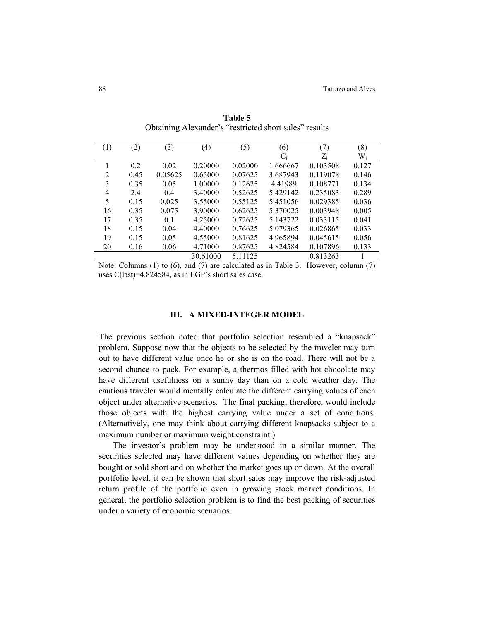| (1)            | (2)  | (3)     | (4)      | (5)     | (6)      | (7)         | (8)   |
|----------------|------|---------|----------|---------|----------|-------------|-------|
|                |      |         |          |         | $C_i$    | $Z_{\rm i}$ | $W_i$ |
|                | 0.2  | 0.02    | 0.20000  | 0.02000 | 1.666667 | 0.103508    | 0.127 |
| $\overline{2}$ | 0.45 | 0.05625 | 0.65000  | 0.07625 | 3.687943 | 0.119078    | 0.146 |
| 3              | 0.35 | 0.05    | 1.00000  | 0.12625 | 4.41989  | 0.108771    | 0.134 |
| 4              | 2.4  | 0.4     | 3.40000  | 0.52625 | 5.429142 | 0.235083    | 0.289 |
| 5              | 0.15 | 0.025   | 3.55000  | 0.55125 | 5.451056 | 0.029385    | 0.036 |
| 16             | 0.35 | 0.075   | 3.90000  | 0.62625 | 5.370025 | 0.003948    | 0.005 |
| 17             | 0.35 | 0.1     | 4.25000  | 0.72625 | 5.143722 | 0.033115    | 0.041 |
| 18             | 0.15 | 0.04    | 4.40000  | 0.76625 | 5.079365 | 0.026865    | 0.033 |
| 19             | 0.15 | 0.05    | 4.55000  | 0.81625 | 4.965894 | 0.045615    | 0.056 |
| 20             | 0.16 | 0.06    | 4.71000  | 0.87625 | 4.824584 | 0.107896    | 0.133 |
|                |      |         | 30.61000 | 5.11125 |          | 0.813263    |       |

**Table 5**  Obtaining Alexander's "restricted short sales" results

Note: Columns (1) to (6), and (7) are calculated as in Table 3. However, column (7) uses C(last)=4.824584, as in EGP's short sales case.

## **III. A MIXED-INTEGER MODEL**

The previous section noted that portfolio selection resembled a "knapsack" problem. Suppose now that the objects to be selected by the traveler may turn out to have different value once he or she is on the road. There will not be a second chance to pack. For example, a thermos filled with hot chocolate may have different usefulness on a sunny day than on a cold weather day. The cautious traveler would mentally calculate the different carrying values of each object under alternative scenarios. The final packing, therefore, would include those objects with the highest carrying value under a set of conditions. (Alternatively, one may think about carrying different knapsacks subject to a maximum number or maximum weight constraint.)

The investor's problem may be understood in a similar manner. The securities selected may have different values depending on whether they are bought or sold short and on whether the market goes up or down. At the overall portfolio level, it can be shown that short sales may improve the risk-adjusted return profile of the portfolio even in growing stock market conditions. In general, the portfolio selection problem is to find the best packing of securities under a variety of economic scenarios.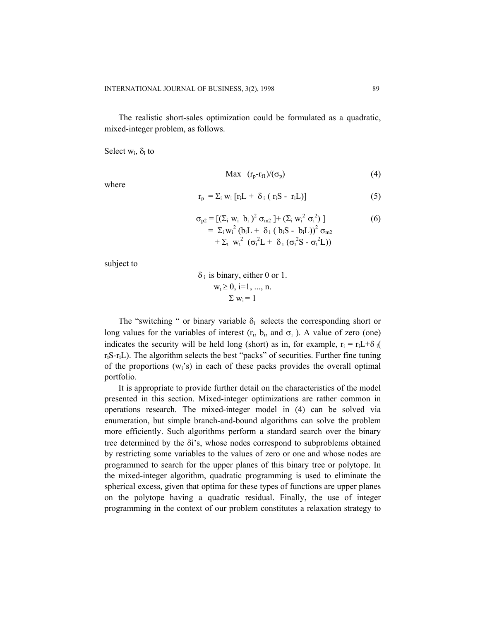The realistic short-sales optimization could be formulated as a quadratic, mixed-integer problem, as follows.

Select  $w_i$ ,  $\delta_i$  to

where

$$
Max (r_p - r_{fl})/(\sigma_p) \tag{4}
$$

$$
r_{p} = \sum_{i} w_{i} [r_{i}L + \delta_{i} (r_{i}S - r_{i}L)] \qquad (5)
$$

$$
\sigma_{p2} = \left[ \left( \sum_{i} w_{i} b_{i} \right)^{2} \sigma_{m2} \right] + \left( \sum_{i} w_{i}^{2} \sigma_{i}^{2} \right) \right]
$$
\n
$$
= \sum_{i} w_{i}^{2} \left( b_{i} L + \delta_{i} \left( b_{i} S - b_{i} L \right) \right)^{2} \sigma_{m2}
$$
\n
$$
+ \sum_{i} w_{i}^{2} \left( \sigma_{i}^{2} L + \delta_{i} \left( \sigma_{i}^{2} S - \sigma_{i}^{2} L \right) \right)
$$
\n(6)

subject to

$$
\delta_i \text{ is binary, either 0 or 1.}
$$
  

$$
w_i \ge 0, i=1, ..., n.
$$
  

$$
\Sigma w_i = 1
$$

The "switching " or binary variable  $\delta_i$  selects the corresponding short or long values for the variables of interest  $(r_i, b_i, \text{ and } \sigma_i)$ . A value of zero (one) indicates the security will be held long (short) as in, for example,  $r_i = r_i L + \delta_i$ riS-riL). The algorithm selects the best "packs" of securities. Further fine tuning of the proportions  $(w_i's)$  in each of these packs provides the overall optimal portfolio.

It is appropriate to provide further detail on the characteristics of the model presented in this section. Mixed-integer optimizations are rather common in operations research. The mixed-integer model in (4) can be solved via enumeration, but simple branch-and-bound algorithms can solve the problem more efficiently. Such algorithms perform a standard search over the binary tree determined by the δi's, whose nodes correspond to subproblems obtained by restricting some variables to the values of zero or one and whose nodes are programmed to search for the upper planes of this binary tree or polytope. In the mixed-integer algorithm, quadratic programming is used to eliminate the spherical excess, given that optima for these types of functions are upper planes on the polytope having a quadratic residual. Finally, the use of integer programming in the context of our problem constitutes a relaxation strategy to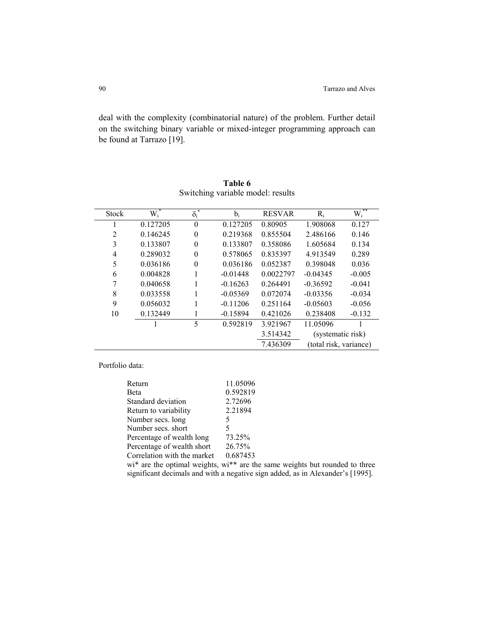deal with the complexity (combinatorial nature) of the problem. Further detail on the switching binary variable or mixed-integer programming approach can be found at Tarrazo [19].

| $W_i$ <sup>*</sup> |          | $b_i$                   | <b>RESVAR</b> | $R_i$      | **<br>$W_i$                                 |
|--------------------|----------|-------------------------|---------------|------------|---------------------------------------------|
| 0.127205           | $\theta$ | 0.127205                | 0.80905       | 1.908068   | 0.127                                       |
| 0.146245           | $\theta$ | 0.219368                | 0.855504      | 2.486166   | 0.146                                       |
| 0.133807           | $\Omega$ | 0.133807                | 0.358086      | 1.605684   | 0.134                                       |
| 0.289032           | $\theta$ | 0.578065                | 0.835397      | 4.913549   | 0.289                                       |
| 0.036186           | $\Omega$ | 0.036186                | 0.052387      | 0.398048   | 0.036                                       |
| 0.004828           |          | $-0.01448$              | 0.0022797     | $-0.04345$ | $-0.005$                                    |
| 0.040658           |          | $-0.16263$              | 0.264491      | $-0.36592$ | $-0.041$                                    |
| 0.033558           |          | $-0.05369$              | 0.072074      | $-0.03356$ | $-0.034$                                    |
| 0.056032           |          | $-0.11206$              | 0.251164      | $-0.05603$ | $-0.056$                                    |
| 0.132449           |          | $-0.15894$              | 0.421026      | 0.238408   | $-0.132$                                    |
|                    | 5        | 0.592819                | 3.921967      | 11.05096   |                                             |
|                    |          |                         | 3.514342      |            |                                             |
|                    |          |                         | 7.436309      |            |                                             |
|                    |          | $\overline{\delta_i}^*$ |               |            | (systematic risk)<br>(total risk, variance) |

| Table 6                           |
|-----------------------------------|
| Switching variable model: results |

Portfolio data:

| Return                      | 11.05096 |
|-----------------------------|----------|
| Beta                        | 0.592819 |
| Standard deviation          | 2.72696  |
| Return to variability       | 2.21894  |
| Number secs. long           | 5        |
| Number secs. short          | 5        |
| Percentage of wealth long   | 73.25%   |
| Percentage of wealth short  | 26.75%   |
| Correlation with the market | 0.687453 |

wi\* are the optimal weights, wi\*\* are the same weights but rounded to three significant decimals and with a negative sign added, as in Alexander's [1995].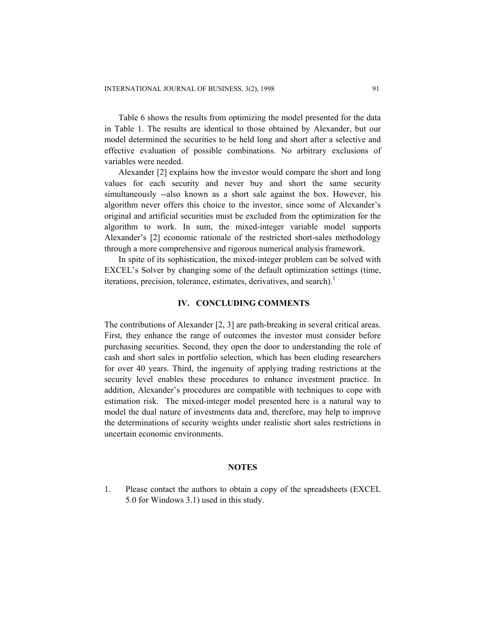Table 6 shows the results from optimizing the model presented for the data in Table 1. The results are identical to those obtained by Alexander, but our model determined the securities to be held long and short after a selective and effective evaluation of possible combinations. No arbitrary exclusions of variables were needed.

Alexander [2] explains how the investor would compare the short and long values for each security and never buy and short the same security simultaneously --also known as a short sale against the box. However, his algorithm never offers this choice to the investor, since some of Alexander's original and artificial securities must be excluded from the optimization for the algorithm to work. In sum, the mixed-integer variable model supports Alexander's [2] economic rationale of the restricted short-sales methodology through a more comprehensive and rigorous numerical analysis framework.

In spite of its sophistication, the mixed-integer problem can be solved with EXCEL's Solver by changing some of the default optimization settings (time, iterations, precision, tolerance, estimates, derivatives, and search).<sup>1</sup>

## **IV. CONCLUDING COMMENTS**

The contributions of Alexander [2, 3] are path-breaking in several critical areas. First, they enhance the range of outcomes the investor must consider before purchasing securities. Second, they open the door to understanding the role of cash and short sales in portfolio selection, which has been eluding researchers for over 40 years. Third, the ingenuity of applying trading restrictions at the security level enables these procedures to enhance investment practice. In addition, Alexander's procedures are compatible with techniques to cope with estimation risk. The mixed-integer model presented here is a natural way to model the dual nature of investments data and, therefore, may help to improve the determinations of security weights under realistic short sales restrictions in uncertain economic environments.

## **NOTES**

1. Please contact the authors to obtain a copy of the spreadsheets (EXCEL 5.0 for Windows 3.1) used in this study.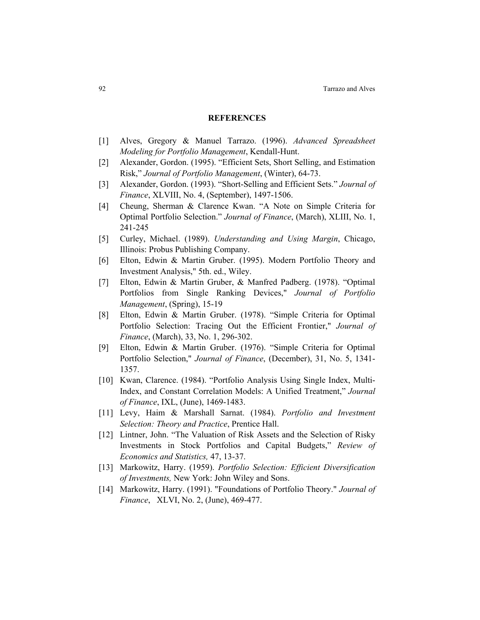### **REFERENCES**

- [1] Alves, Gregory & Manuel Tarrazo. (1996). *Advanced Spreadsheet Modeling for Portfolio Management*, Kendall-Hunt.
- [2] Alexander, Gordon. (1995). "Efficient Sets, Short Selling, and Estimation Risk," *Journal of Portfolio Management*, (Winter), 64-73.
- [3] Alexander, Gordon. (1993). "Short-Selling and Efficient Sets." *Journal of Finance*, XLVIII, No. 4, (September), 1497-1506.
- [4] Cheung, Sherman & Clarence Kwan. "A Note on Simple Criteria for Optimal Portfolio Selection." *Journal of Finance*, (March), XLIII, No. 1, 241-245
- [5] Curley, Michael. (1989). *Understanding and Using Margin*, Chicago, Illinois: Probus Publishing Company.
- [6] Elton, Edwin & Martin Gruber. (1995). Modern Portfolio Theory and Investment Analysis," 5th. ed., Wiley.
- [7] Elton, Edwin & Martin Gruber, & Manfred Padberg. (1978). "Optimal Portfolios from Single Ranking Devices," *Journal of Portfolio Management*, (Spring), 15-19
- [8] Elton, Edwin & Martin Gruber. (1978). "Simple Criteria for Optimal Portfolio Selection: Tracing Out the Efficient Frontier," *Journal of Finance*, (March), 33, No. 1, 296-302.
- [9] Elton, Edwin & Martin Gruber. (1976). "Simple Criteria for Optimal Portfolio Selection," *Journal of Finance*, (December), 31, No. 5, 1341- 1357.
- [10] Kwan, Clarence. (1984). "Portfolio Analysis Using Single Index, Multi-Index, and Constant Correlation Models: A Unified Treatment," *Journal of Finance*, IXL, (June), 1469-1483.
- [11] Levy, Haim & Marshall Sarnat. (1984). *Portfolio and Investment Selection: Theory and Practice*, Prentice Hall.
- [12] Lintner, John. "The Valuation of Risk Assets and the Selection of Risky Investments in Stock Portfolios and Capital Budgets," *Review of Economics and Statistics,* 47, 13-37.
- [13] Markowitz, Harry. (1959). *Portfolio Selection: Efficient Diversification of Investments,* New York: John Wiley and Sons.
- [14] Markowitz, Harry. (1991). "Foundations of Portfolio Theory." *Journal of Finance*, XLVI, No. 2, (June), 469-477.